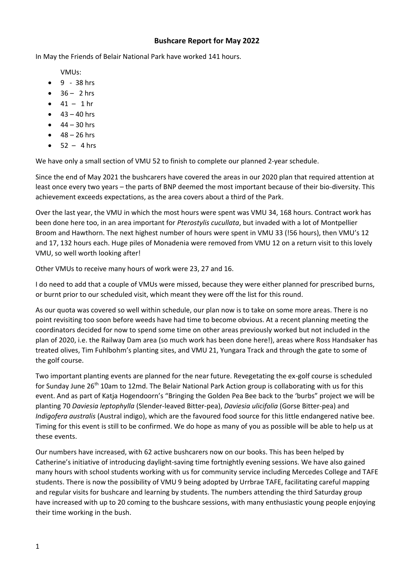## **Bushcare Report for May 2022**

In May the Friends of Belair National Park have worked 141 hours.

VMUs:

- $9 38$  hrs
- $36 2$  hrs
- $41 1$  hr
- $-43 40$  hrs
- $44 30$  hrs
- $48 26$  hrs
- $-52 4$  hrs

We have only a small section of VMU 52 to finish to complete our planned 2-year schedule.

Since the end of May 2021 the bushcarers have covered the areas in our 2020 plan that required attention at least once every two years – the parts of BNP deemed the most important because of their bio-diversity. This achievement exceeds expectations, as the area covers about a third of the Park.

Over the last year, the VMU in which the most hours were spent was VMU 34, 168 hours. Contract work has been done here too, in an area important for *Pterostylis cucullata*, but invaded with a lot of Montpellier Broom and Hawthorn. The next highest number of hours were spent in VMU 33 (!56 hours), then VMU's 12 and 17, 132 hours each. Huge piles of Monadenia were removed from VMU 12 on a return visit to this lovely VMU, so well worth looking after!

Other VMUs to receive many hours of work were 23, 27 and 16.

I do need to add that a couple of VMUs were missed, because they were either planned for prescribed burns, or burnt prior to our scheduled visit, which meant they were off the list for this round.

As our quota was covered so well within schedule, our plan now is to take on some more areas. There is no point revisiting too soon before weeds have had time to become obvious. At a recent planning meeting the coordinators decided for now to spend some time on other areas previously worked but not included in the plan of 2020, i.e. the Railway Dam area (so much work has been done here!), areas where Ross Handsaker has treated olives, Tim Fuhlbohm's planting sites, and VMU 21, Yungara Track and through the gate to some of the golf course.

Two important planting events are planned for the near future. Revegetating the ex-golf course is scheduled for Sunday June 26<sup>th</sup> 10am to 12md. The Belair National Park Action group is collaborating with us for this event. And as part of Katja Hogendoorn's "Bringing the Golden Pea Bee back to the 'burbs" project we will be planting 70 *Daviesia leptophylla* (Slender-leaved Bitter-pea), *Daviesia ulicifolia* (Gorse Bitter-pea) and *Indigofera australis* (Austral indigo), which are the favoured food source for this little endangered native bee. Timing for this event is still to be confirmed. We do hope as many of you as possible will be able to help us at these events.

Our numbers have increased, with 62 active bushcarers now on our books. This has been helped by Catherine's initiative of introducing daylight-saving time fortnightly evening sessions. We have also gained many hours with school students working with us for community service including Mercedes College and TAFE students. There is now the possibility of VMU 9 being adopted by Urrbrae TAFE, facilitating careful mapping and regular visits for bushcare and learning by students. The numbers attending the third Saturday group have increased with up to 20 coming to the bushcare sessions, with many enthusiastic young people enjoying their time working in the bush.